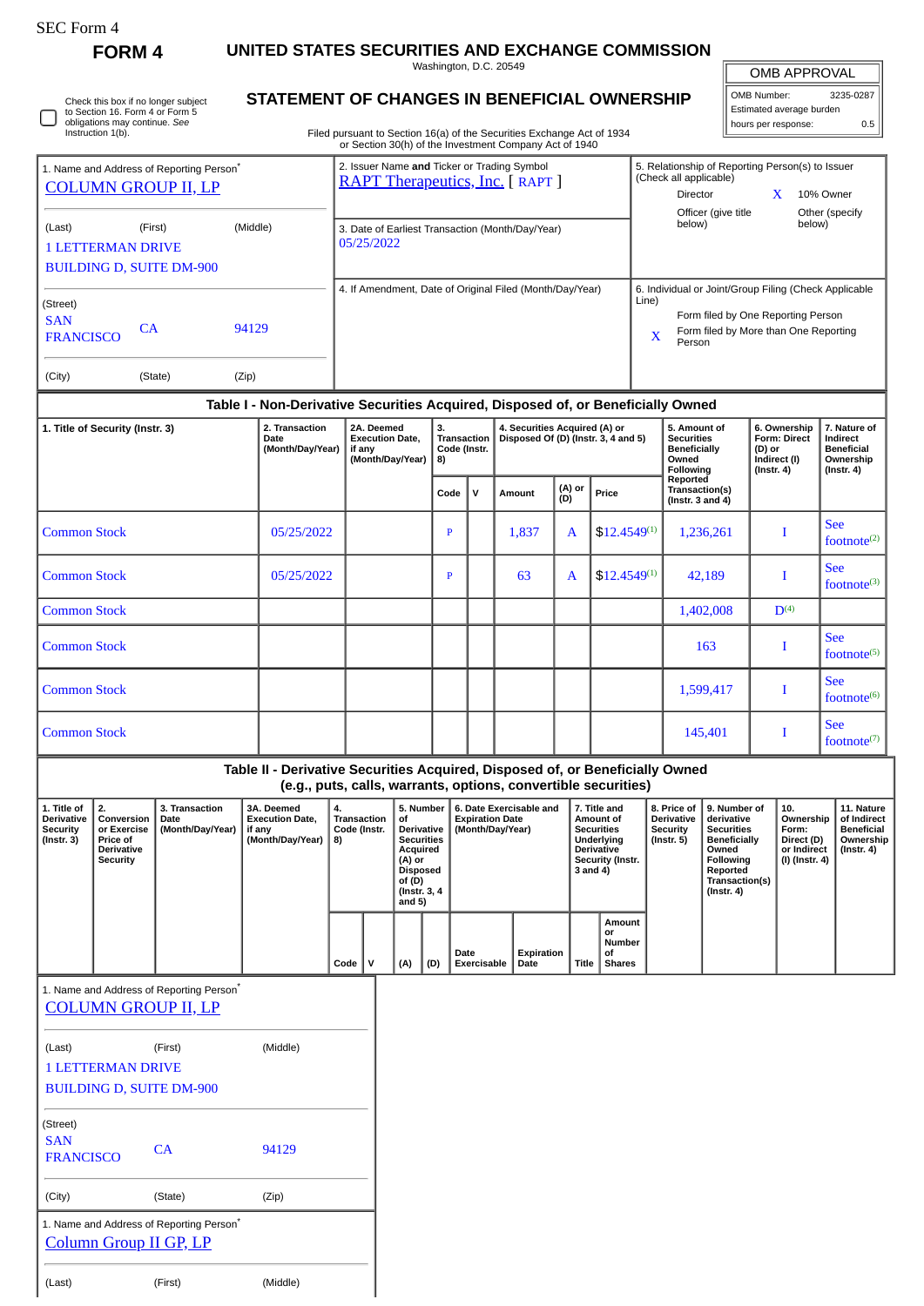| SEC Form. |  |
|-----------|--|
|-----------|--|

SAN

SAN CA 94129

(City) (State) (Zip)

(Last) (First) (Middle)

1. Name and Address of Reporting Person\* [Column Group II GP, LP](http://www.sec.gov/cgi-bin/browse-edgar?action=getcompany&CIK=0001645333)

**FORM 4 UNITED STATES SECURITIES AND EXCHANGE COMMISSION**

Washington, D.C. 20549 **STATEMENT OF CHANGES IN BENEFICIAL OWNERSHIP**

| OMB APPROVAL |  |
|--------------|--|
|              |  |

Ш

| OMB Number:              | 3235-0287 |
|--------------------------|-----------|
| Estimated average burden |           |
| hours per response:      | ሰ 5       |

|                                                                                                                                                                                                                        | Check this box if no longer subject<br>to Section 16. Form 4 or Form 5<br>obligations may continue. See<br>Instruction 1(b). |                                                                                    | STATEMENT OF CHANGES IN BENEFICIAL OWNERSHIP                                     |                                                                          |                                                                                                                                         |                                                                                              |                                                                       |                                                                      | Filed pursuant to Section 16(a) of the Securities Exchange Act of 1934 |                                                                                                                   |                                                                         |                                                                                |                                                                                                                                                |                                                                                   | Estimated average burden<br>hours per response:                                                                                      | 0.5                                   |
|------------------------------------------------------------------------------------------------------------------------------------------------------------------------------------------------------------------------|------------------------------------------------------------------------------------------------------------------------------|------------------------------------------------------------------------------------|----------------------------------------------------------------------------------|--------------------------------------------------------------------------|-----------------------------------------------------------------------------------------------------------------------------------------|----------------------------------------------------------------------------------------------|-----------------------------------------------------------------------|----------------------------------------------------------------------|------------------------------------------------------------------------|-------------------------------------------------------------------------------------------------------------------|-------------------------------------------------------------------------|--------------------------------------------------------------------------------|------------------------------------------------------------------------------------------------------------------------------------------------|-----------------------------------------------------------------------------------|--------------------------------------------------------------------------------------------------------------------------------------|---------------------------------------|
| 1. Name and Address of Reporting Person <sup>*</sup><br><b>COLUMN GROUP II, LP</b>                                                                                                                                     |                                                                                                                              |                                                                                    |                                                                                  |                                                                          | or Section 30(h) of the Investment Company Act of 1940<br>2. Issuer Name and Ticker or Trading Symbol<br>RAPT Therapeutics, Inc. [RAPT] |                                                                                              |                                                                       |                                                                      |                                                                        |                                                                                                                   |                                                                         |                                                                                | (Check all applicable)<br>Director                                                                                                             |                                                                                   | 5. Relationship of Reporting Person(s) to Issuer<br>10% Owner<br>X                                                                   |                                       |
| (Last)                                                                                                                                                                                                                 | <b>1 LETTERMAN DRIVE</b>                                                                                                     | (First)<br><b>BUILDING D, SUITE DM-900</b>                                         | (Middle)                                                                         |                                                                          | 05/25/2022                                                                                                                              |                                                                                              |                                                                       |                                                                      | 3. Date of Earliest Transaction (Month/Day/Year)                       |                                                                                                                   |                                                                         | Officer (give title<br>Other (specify<br>below)<br>below)                      |                                                                                                                                                |                                                                                   |                                                                                                                                      |                                       |
| (Street)<br><b>SAN</b><br><b>FRANCISCO</b><br>(City)                                                                                                                                                                   | CA                                                                                                                           | (State)                                                                            | 94129<br>(Zip)                                                                   |                                                                          |                                                                                                                                         |                                                                                              |                                                                       |                                                                      | 4. If Amendment, Date of Original Filed (Month/Day/Year)               |                                                                                                                   |                                                                         | Line)<br>X                                                                     | Person                                                                                                                                         |                                                                                   | 6. Individual or Joint/Group Filing (Check Applicable<br>Form filed by One Reporting Person<br>Form filed by More than One Reporting |                                       |
|                                                                                                                                                                                                                        |                                                                                                                              |                                                                                    | Table I - Non-Derivative Securities Acquired, Disposed of, or Beneficially Owned |                                                                          |                                                                                                                                         |                                                                                              |                                                                       |                                                                      |                                                                        |                                                                                                                   |                                                                         |                                                                                |                                                                                                                                                |                                                                                   |                                                                                                                                      |                                       |
| 1. Title of Security (Instr. 3)<br>Date                                                                                                                                                                                |                                                                                                                              | 2. Transaction<br>(Month/Day/Year)                                                 | 2A. Deemed<br><b>Execution Date,</b><br>if any<br>(Month/Day/Year)               |                                                                          |                                                                                                                                         | 3.<br>Transaction<br>Code (Instr.<br>8)                                                      |                                                                       | 4. Securities Acquired (A) or<br>Disposed Of (D) (Instr. 3, 4 and 5) |                                                                        |                                                                                                                   |                                                                         | 5. Amount of<br><b>Securities</b><br><b>Beneficially</b><br>Owned<br>Following |                                                                                                                                                | 6. Ownership<br><b>Form: Direct</b><br>(D) or<br>Indirect (I)<br>$($ Instr. 4 $)$ | 7. Nature of<br>Indirect<br><b>Beneficial</b><br>Ownership<br>$($ Instr. 4 $)$                                                       |                                       |
|                                                                                                                                                                                                                        |                                                                                                                              |                                                                                    |                                                                                  |                                                                          |                                                                                                                                         |                                                                                              | Code                                                                  | $\mathsf{v}$                                                         | Amount                                                                 | (A) or<br>(D)                                                                                                     | Price                                                                   | Reported<br>Transaction(s)<br>(Instr. $3$ and $4$ )                            |                                                                                                                                                |                                                                                   |                                                                                                                                      |                                       |
| <b>Common Stock</b>                                                                                                                                                                                                    |                                                                                                                              |                                                                                    | 05/25/2022                                                                       |                                                                          |                                                                                                                                         |                                                                                              | $\mathbf{P}$                                                          |                                                                      | 1,837                                                                  | A                                                                                                                 | $$12.4549^{(1)}$                                                        |                                                                                | 1,236,261                                                                                                                                      |                                                                                   | I                                                                                                                                    | <b>See</b><br>footnote $(2)$          |
| <b>Common Stock</b>                                                                                                                                                                                                    |                                                                                                                              |                                                                                    | 05/25/2022                                                                       |                                                                          |                                                                                                                                         |                                                                                              | $\mathbf{P}$                                                          |                                                                      | 63                                                                     | A                                                                                                                 | $$12.4549^{(1)}$                                                        |                                                                                | 42,189                                                                                                                                         |                                                                                   | I                                                                                                                                    | <b>See</b><br>footnote <sup>(3)</sup> |
| <b>Common Stock</b>                                                                                                                                                                                                    |                                                                                                                              |                                                                                    |                                                                                  |                                                                          |                                                                                                                                         |                                                                                              |                                                                       |                                                                      |                                                                        |                                                                                                                   |                                                                         |                                                                                | 1,402,008                                                                                                                                      |                                                                                   | D <sup>(4)</sup>                                                                                                                     |                                       |
| <b>Common Stock</b>                                                                                                                                                                                                    |                                                                                                                              |                                                                                    |                                                                                  |                                                                          |                                                                                                                                         |                                                                                              |                                                                       |                                                                      |                                                                        |                                                                                                                   |                                                                         |                                                                                | 163                                                                                                                                            |                                                                                   | T                                                                                                                                    | <b>See</b><br>footnote $(5)$          |
| <b>Common Stock</b>                                                                                                                                                                                                    |                                                                                                                              |                                                                                    |                                                                                  |                                                                          |                                                                                                                                         |                                                                                              |                                                                       |                                                                      |                                                                        |                                                                                                                   |                                                                         |                                                                                | 1,599,417                                                                                                                                      |                                                                                   | I                                                                                                                                    | <b>See</b><br>footnote $(6)$          |
| <b>Common Stock</b>                                                                                                                                                                                                    |                                                                                                                              |                                                                                    |                                                                                  |                                                                          |                                                                                                                                         |                                                                                              |                                                                       |                                                                      |                                                                        |                                                                                                                   |                                                                         |                                                                                | 145,401                                                                                                                                        |                                                                                   | I                                                                                                                                    | <b>See</b><br>footnote $(7)$          |
|                                                                                                                                                                                                                        |                                                                                                                              |                                                                                    | Table II - Derivative Securities Acquired, Disposed of, or Beneficially Owned    |                                                                          |                                                                                                                                         |                                                                                              |                                                                       |                                                                      | (e.g., puts, calls, warrants, options, convertible securities)         |                                                                                                                   |                                                                         |                                                                                |                                                                                                                                                |                                                                                   |                                                                                                                                      |                                       |
| 1. Title of<br>2.<br>3. Transaction<br><b>Derivative</b><br>Conversion<br>Date<br><b>Security</b><br>or Exercise<br>(Month/Day/Year)<br>if any<br>$($ Instr. 3 $)$<br>Price of<br><b>Derivative</b><br><b>Security</b> |                                                                                                                              | 3A. Deemed<br><b>Execution Date.</b><br>(Month/Day/Year)                           | 4.<br>8)                                                                         | <b>Transaction</b><br>of<br>Code (Instr.<br>(A) or<br>of (D)<br>and $5)$ |                                                                                                                                         | 5. Number<br>Derivative<br><b>Securities</b><br>Acquired<br><b>Disposed</b><br>(Instr. 3, 4) | 6. Date Exercisable and<br><b>Expiration Date</b><br>(Month/Day/Year) |                                                                      |                                                                        | 7. Title and<br>Amount of<br><b>Securities</b><br>Underlying<br><b>Derivative</b><br>Security (Instr.<br>3 and 4) | 8. Price of<br><b>Derivative</b><br><b>Security</b><br>$($ Instr. 5 $)$ |                                                                                | 9. Number of<br>derivative<br><b>Securities</b><br><b>Beneficially</b><br>Owned<br>Following<br>Reported<br>Transaction(s)<br>$($ Instr. 4 $)$ | 10.<br>Ownership<br>Form:<br>Direct (D)<br>or Indirect<br>(I) (Instr. 4)          | 11. Nature<br>of Indirect<br><b>Beneficial</b><br>Ownership<br>$($ Instr. 4 $)$                                                      |                                       |
|                                                                                                                                                                                                                        |                                                                                                                              |                                                                                    |                                                                                  | Code                                                                     | $\mathsf{v}$                                                                                                                            | (A)                                                                                          | (D)                                                                   | Date<br><b>Exercisable</b>                                           | Expiration<br>Date                                                     | Title                                                                                                             | Amount<br>or<br>Number<br>οf<br><b>Shares</b>                           |                                                                                |                                                                                                                                                |                                                                                   |                                                                                                                                      |                                       |
|                                                                                                                                                                                                                        |                                                                                                                              | 1. Name and Address of Reporting Person <sup>®</sup><br><b>COLUMN GROUP II, LP</b> |                                                                                  |                                                                          |                                                                                                                                         |                                                                                              |                                                                       |                                                                      |                                                                        |                                                                                                                   |                                                                         |                                                                                |                                                                                                                                                |                                                                                   |                                                                                                                                      |                                       |
| (Last)                                                                                                                                                                                                                 | <b>1 LETTERMAN DRIVE</b>                                                                                                     | (First)<br><b>BUILDING D, SUITE DM-900</b>                                         | (Middle)                                                                         |                                                                          |                                                                                                                                         |                                                                                              |                                                                       |                                                                      |                                                                        |                                                                                                                   |                                                                         |                                                                                |                                                                                                                                                |                                                                                   |                                                                                                                                      |                                       |
| (Street)                                                                                                                                                                                                               |                                                                                                                              |                                                                                    |                                                                                  |                                                                          |                                                                                                                                         |                                                                                              |                                                                       |                                                                      |                                                                        |                                                                                                                   |                                                                         |                                                                                |                                                                                                                                                |                                                                                   |                                                                                                                                      |                                       |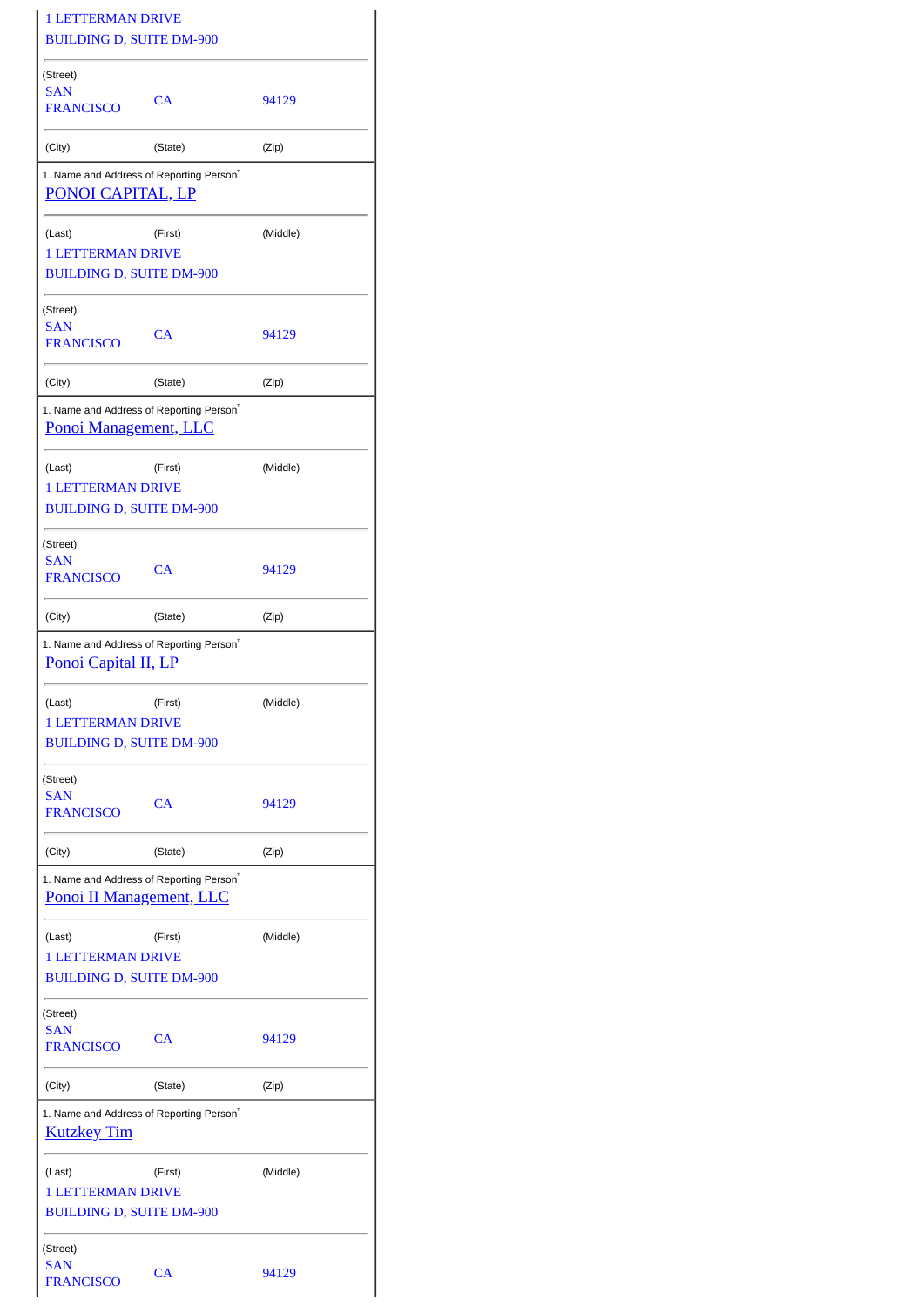| <b>1 LETTERMAN DRIVE</b><br><b>BUILDING D, SUITE DM-900</b>                             |         |          |  |  |  |  |
|-----------------------------------------------------------------------------------------|---------|----------|--|--|--|--|
| (Street)                                                                                |         |          |  |  |  |  |
| <b>SAN</b><br><b>FRANCISCO</b>                                                          | CA      | 94129    |  |  |  |  |
| (City)                                                                                  | (State) | (Zip)    |  |  |  |  |
| 1. Name and Address of Reporting Person <sup>*</sup><br>PONOI CAPITAL, LP               |         |          |  |  |  |  |
| (Last)<br><b>1 LETTERMAN DRIVE</b>                                                      | (First) | (Middle) |  |  |  |  |
| <b>BUILDING D, SUITE DM-900</b>                                                         |         |          |  |  |  |  |
| (Street)<br>SAN                                                                         |         |          |  |  |  |  |
| <b>FRANCISCO</b>                                                                        | CA      | 94129    |  |  |  |  |
| (City)                                                                                  | (State) | (Zip)    |  |  |  |  |
| 1. Name and Address of Reporting Person <sup>*</sup><br>Ponoi Management, LLC           |         |          |  |  |  |  |
| (Last)                                                                                  | (First) | (Middle) |  |  |  |  |
| <b>1 LETTERMAN DRIVE</b><br><b>BUILDING D, SUITE DM-900</b>                             |         |          |  |  |  |  |
| (Street)                                                                                |         |          |  |  |  |  |
| <b>SAN</b><br><b>FRANCISCO</b>                                                          | CA      | 94129    |  |  |  |  |
| (City)                                                                                  | (State) | (Zip)    |  |  |  |  |
| 1. Name and Address of Reporting Person <sup>*</sup><br>Ponoi Capital II, LP            |         |          |  |  |  |  |
| (Last)<br>1 LETTERMAN DRIVE<br><b>BUILDING D, SUITE DM-900</b>                          | (First) | (Middle) |  |  |  |  |
|                                                                                         |         |          |  |  |  |  |
| (Street)<br><b>SAN</b><br><b>FRANCISCO</b>                                              | CA      | 94129    |  |  |  |  |
| (City)                                                                                  | (State) | (Zip)    |  |  |  |  |
| 1. Name and Address of Reporting Person <sup>*</sup><br><b>Ponoi II Management, LLC</b> |         |          |  |  |  |  |
| (Last)<br><b>1 LETTERMAN DRIVE</b>                                                      | (First) | (Middle) |  |  |  |  |
| <b>BUILDING D, SUITE DM-900</b>                                                         |         |          |  |  |  |  |
| (Street)                                                                                |         |          |  |  |  |  |
| <b>SAN</b><br><b>FRANCISCO</b>                                                          | CA      | 94129    |  |  |  |  |
| (City)                                                                                  | (State) | (Zip)    |  |  |  |  |
| 1. Name and Address of Reporting Person <sup>*</sup><br><b>Kutzkey Tim</b>              |         |          |  |  |  |  |
| (Last)                                                                                  | (First) | (Middle) |  |  |  |  |
| <b>1 LETTERMAN DRIVE</b><br><b>BUILDING D, SUITE DM-900</b>                             |         |          |  |  |  |  |
| (Street)                                                                                |         |          |  |  |  |  |
| SAN<br><b>FRANCISCO</b>                                                                 | CA      | 94129    |  |  |  |  |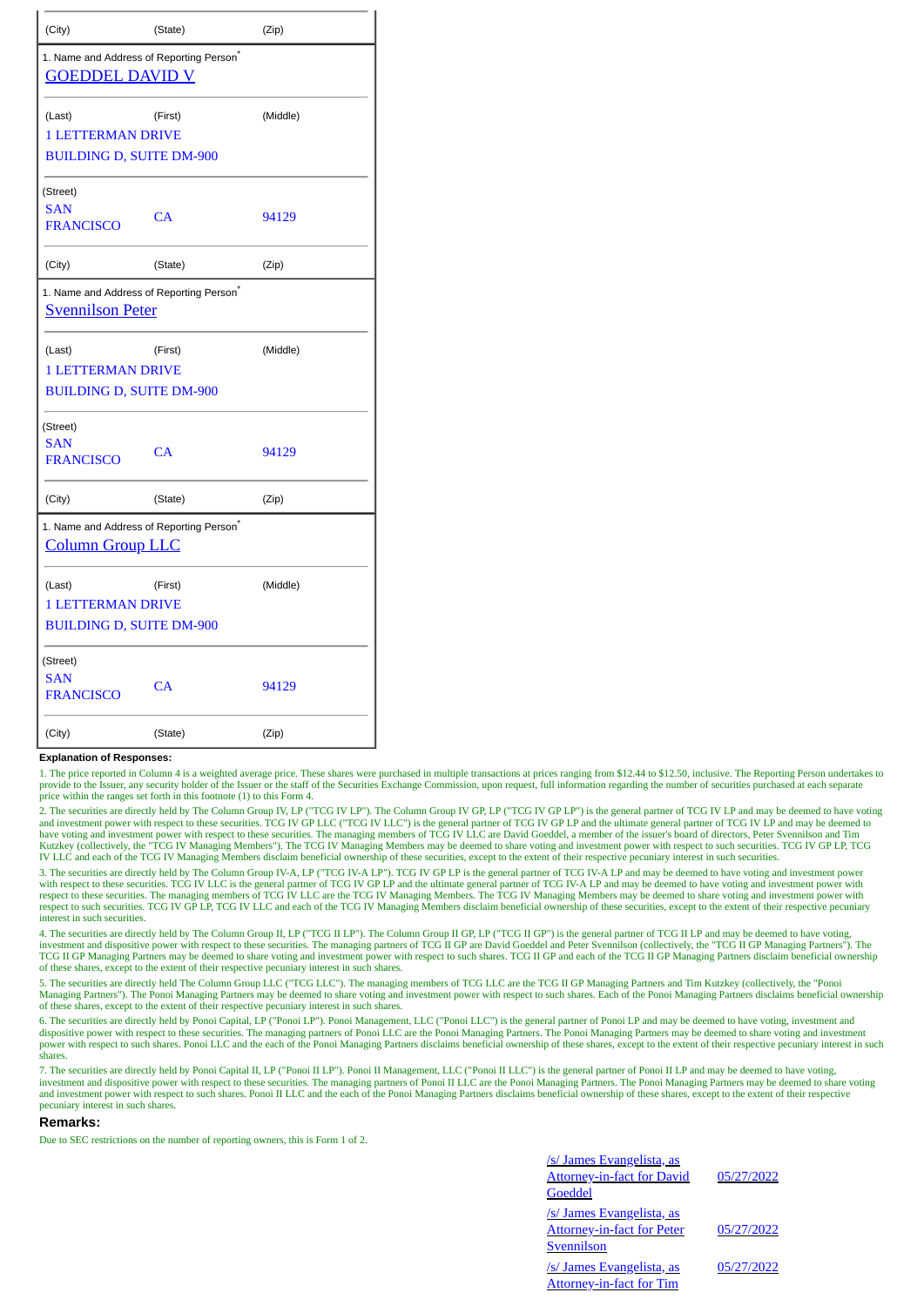| (City)                                                                          | (State) | (Zip)    |  |  |  |
|---------------------------------------------------------------------------------|---------|----------|--|--|--|
| 1. Name and Address of Reporting Person*<br><b>GOEDDEL DAVID V</b>              |         |          |  |  |  |
| (Last)<br><b>1 LETTERMAN DRIVE</b><br><b>BUILDING D, SUITE DM-900</b>           | (First) | (Middle) |  |  |  |
| (Street)<br><b>SAN</b><br><b>FRANCISCO</b>                                      | CA      | 94129    |  |  |  |
| (City)                                                                          | (State) | (Zip)    |  |  |  |
| 1. Name and Address of Reporting Person <sup>*</sup><br><b>Svennilson Peter</b> |         |          |  |  |  |
| (Last)<br><b>1 LETTERMAN DRIVE</b><br><b>BUILDING D, SUITE DM-900</b>           | (First) | (Middle) |  |  |  |
| (Street)<br><b>SAN</b><br><b>FRANCISCO</b>                                      | CA      | 94129    |  |  |  |
| (City)                                                                          | (State) | (Zip)    |  |  |  |
| 1. Name and Address of Reporting Person <sup>®</sup><br><b>Column Group LLC</b> |         |          |  |  |  |
| (Last)<br><b>1 LETTERMAN DRIVE</b><br><b>BUILDING D, SUITE DM-900</b>           | (First) | (Middle) |  |  |  |
| (Street)<br><b>SAN</b><br><b>FRANCISCO</b>                                      | CA      | 94129    |  |  |  |
| (City)                                                                          | (State) | (Zip)    |  |  |  |

## **Explanation of Responses:**

1. The price reported in Column 4 is a weighted average price. These shares were purchased in multiple transactions at prices ranging from \$12.44 to \$12.50, inclusive. The Reporting Person undertakes to provide to the Issuer, any security holder of the Issuer or the staff of the Securities Exchange Commission, upon request, full information regarding the number of securities purchased at each separate price within the ranges set forth in this footnote (1) to this Form 4.

2. The securities are directly held by The Column Group IV, LP ("TCG IV LP"). The Column Group IV GP, LP ("TCG IV GP LP") is the general partner of TCG IV LP and may be deemed to have voting and investment power with respe IV LLC and each of the TCG IV Managing Members disclaim beneficial ownership of these securities, except to the extent of their respective pecuniary interest in such securities.

3. The securities are directly held by The Column Group IV-A, LP ("TCG IV-A LP"). TCG IV GP LP is the general partner of TCG IV-A LP and may be deemed to have voting and investment power with respect to these securities. TCG IV LLC is the general partner of TCG IV GP LP and the ultimate general partner of TCG IV-A LP and may be deemed to have voting and investment power with respect to these securities. The managing members of TCG IV LLC are the TCG IV Managing Members (IV Managing Members may be deemed to share voting and investment power with<br>respect to such securities. TCG IV GP LP, TCG IV interest in such securities.

4. The securities are directly held by The Column Group II, LP ("TCG II LP"). The Column Group II GP, LP ("TCG II GP") is the general partner of TCG II LP and may be deemed to have voting,<br>investment and dispositive power TCG II GP Managing Partners may be deemed to share voting and investment power with respect to such shares. TCG II GP and each of the TCG II GP Managing Partners disclaim beneficial ownership of these shares, except to the extent of their respective pecuniary interest in such shares.

5. The securities are directly held The Column Group LLC ("TCG LLC"). The managing members of TCG LLC are the TCG II GP Managing Partners and Tim Kutzkey (collectively, the "Ponoi Managing Partners"). The Ponoi Managing Partners may be deemed to share voting and investment power with respect to such shares. Each of the Ponoi Managing Partners disclaims beneficial ownership of these shares, except to the extent of their respective pecuniary interest in such shares.

6. The securities are directly held by Ponoi Capital, LP ("Ponoi LP"). Ponoi Management, LLC ("Ponoi LLC") is the general partner of Ponoi LP and may be deemed to have voting, investment and<br>dispositive power with respect power with respect to such shares. Ponoi LLC and the each of the Ponoi Managing Partners disclaims beneficial ownership of these shares, except to the extent of their respective pecuniary interest in such shares.

7. The securities are directly held by Ponoi Capital II, LP ("Ponoi II LP"). Ponoi II Management, LLC ("Ponoi II LLC") is the general partner of Ponoi II LP and may be deemed to have voting, investment and dispositive power with respect to these securities. The managing partners of Ponoi II LLC are the Ponoi Managing Partners. The Ponoi Managing Partners may be deemed to share voting<br>and investment power with pecuniary interest in such shares.

## **Remarks:**

Due to SEC restrictions on the number of reporting owners, this is Form 1 of 2.

| /s/ James Evangelista, as<br><b>Attorney-in-fact for David</b><br>Goeddel | 05/27/2022 |
|---------------------------------------------------------------------------|------------|
| /s/ James Evangelista, as<br><b>Attorney-in-fact for Peter</b>            | 05/27/2022 |
| Svennilson                                                                |            |
| /s/ James Evangelista, as<br><b>Attorney-in-fact for Tim</b>              | 05/27/2022 |